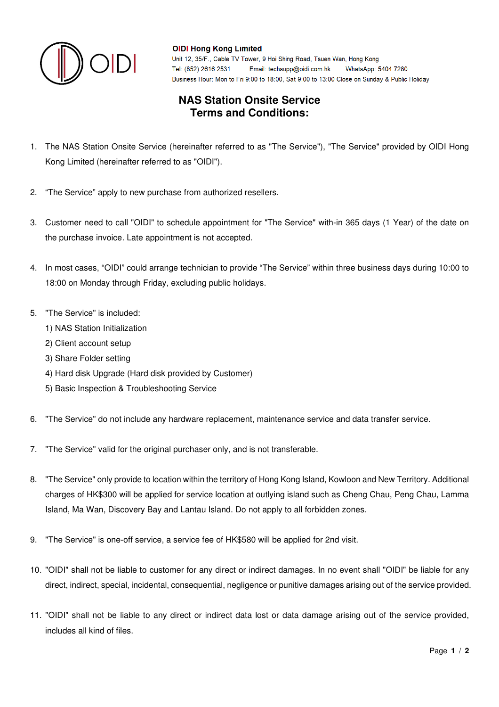

### **OIDI Hong Kong Limited**

Unit 12, 35/F., Cable TV Tower, 9 Hoi Shing Road, Tsuen Wan, Hong Kong Tel: (852) 2616 2531 Email: techsupp@oidi.com.hk WhatsApp: 5404 7280 Business Hour: Mon to Fri 9:00 to 18:00, Sat 9:00 to 13:00 Close on Sunday & Public Holiday

## **NAS Station Onsite Service Terms and Conditions:**

- 1. The NAS Station Onsite Service (hereinafter referred to as "The Service"), "The Service" provided by OIDI Hong Kong Limited (hereinafter referred to as "OIDI").
- 2. "The Service" apply to new purchase from authorized resellers.
- 3. Customer need to call "OIDI" to schedule appointment for "The Service" with-in 365 days (1 Year) of the date on the purchase invoice. Late appointment is not accepted.
- 4. In most cases, "OIDI" could arrange technician to provide "The Service" within three business days during 10:00 to 18:00 on Monday through Friday, excluding public holidays.
- 5. "The Service" is included:
	- 1) NAS Station Initialization
	- 2) Client account setup
	- 3) Share Folder setting
	- 4) Hard disk Upgrade (Hard disk provided by Customer)
	- 5) Basic Inspection & Troubleshooting Service
- 6. "The Service" do not include any hardware replacement, maintenance service and data transfer service.
- 7. "The Service" valid for the original purchaser only, and is not transferable.
- 8. "The Service" only provide to location within the territory of Hong Kong Island, Kowloon and New Territory. Additional charges of HK\$300 will be applied for service location at outlying island such as Cheng Chau, Peng Chau, Lamma Island, Ma Wan, Discovery Bay and Lantau Island. Do not apply to all forbidden zones.
- 9. "The Service" is one-off service, a service fee of HK\$580 will be applied for 2nd visit.
- 10. "OIDI" shall not be liable to customer for any direct or indirect damages. In no event shall "OIDI" be liable for any direct, indirect, special, incidental, consequential, negligence or punitive damages arising out of the service provided.
- 11. "OIDI" shall not be liable to any direct or indirect data lost or data damage arising out of the service provided, includes all kind of files.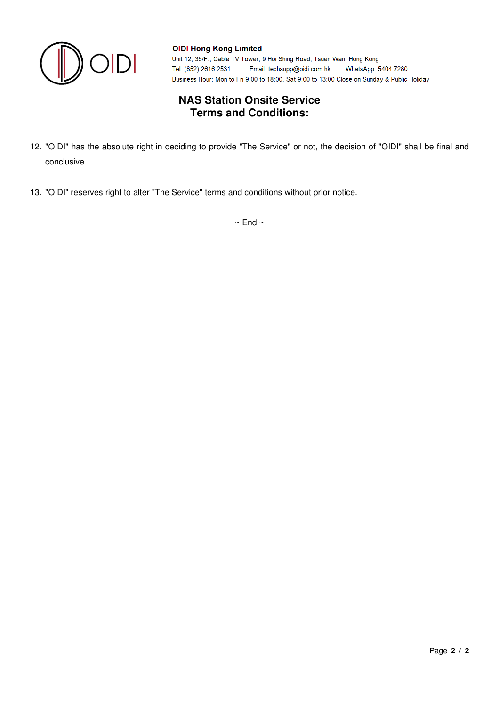

#### **OIDI Hong Kong Limited**

Unit 12, 35/F., Cable TV Tower, 9 Hoi Shing Road, Tsuen Wan, Hong Kong Tel: (852) 2616 2531 Email: techsupp@oidi.com.hk WhatsApp: 5404 7280 Business Hour: Mon to Fri 9:00 to 18:00, Sat 9:00 to 13:00 Close on Sunday & Public Holiday

## **NAS Station Onsite Service Terms and Conditions:**

- 12. "OIDI" has the absolute right in deciding to provide "The Service" or not, the decision of "OIDI" shall be final and conclusive.
- 13. "OIDI" reserves right to alter "The Service" terms and conditions without prior notice.

 $\sim$  End  $\sim$